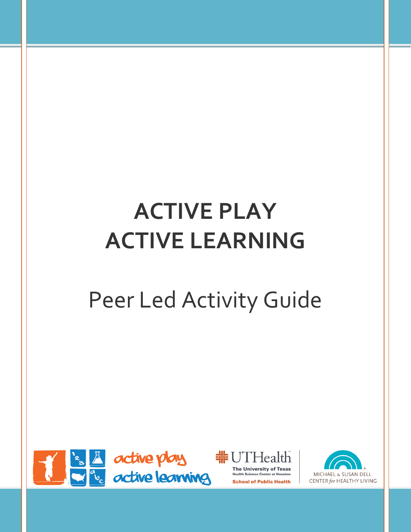# **ACTIVE PLAY ACTIVE LEARNING**

# Peer Led Activity Guide





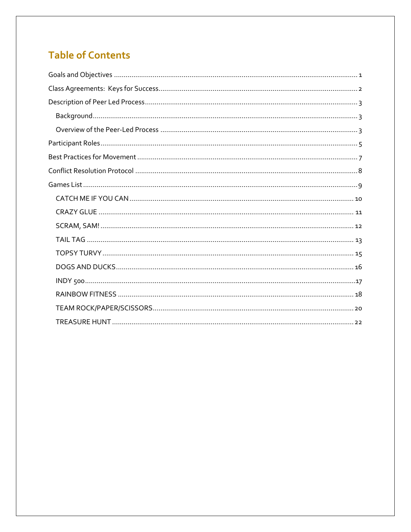## **Table of Contents**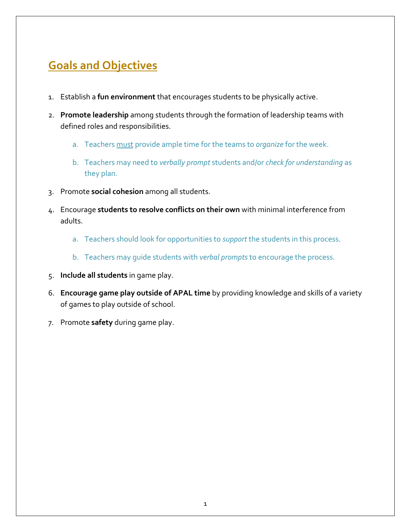## **Goals and Objectives**

- 1. Establish a **fun environment** that encourages students to be physically active.
- 2. **Promote leadership** among students through the formation of leadership teams with defined roles and responsibilities.
	- a. Teachers must provide ample time for the teams to *organize* for the week.
	- b. Teachers may need to *verbally prompt* students and/or *check for understanding* as they plan.
- 3. Promote **social cohesion** among all students.
- 4. Encourage **students to resolve conflicts on their own** with minimal interference from adults.
	- a. Teachers should look for opportunities to *support* the students in this process.
	- b. Teachers may guide students with *verbal prompts* to encourage the process.
- 5. **Include all students** in game play.
- 6. **Encourage game play outside of APAL time** by providing knowledge and skills of a variety of games to play outside of school.
- 7. Promote **safety** during game play.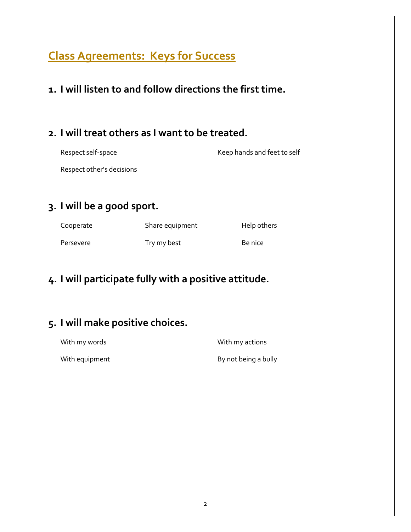## **Class Agreements: Keys for Success**

**1. I will listen to and follow directions the first time.**

### **2. I will treat others as I want to be treated.**

Respect self-space Keep hands and feet to self

Respect other's decisions

## **3. I will be a good sport.**

| Cooperate | Share equipment | Help others |
|-----------|-----------------|-------------|
| Persevere | Try my best     | Be nice     |

## **4. I will participate fully with a positive attitude.**

## **5. I will make positive choices.**

With my words **With my actions** 

With equipment and a bully controller being a bully by not being a bully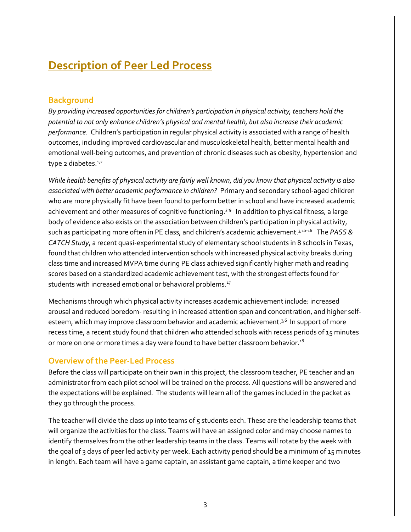## **Description of Peer Led Process**

#### **Background**

*By providing increased opportunities for children's participation in physical activity, teachers hold the potential to not only enhance children's physical and mental health, but also increase their academic performance.* Children's participation in regular physical activity is associated with a range of health outcomes, including improved cardiovascular and musculoskeletal health, better mental health and emotional well-being outcomes, and prevention of chronic diseases such as obesity, hypertension and type 2 diabetes. $1/2$ 

*While health benefits of physical activity are fairly well known, did you know that physical activity is also associated with better academic performance in children?*Primary and secondary school-aged children who are more physically fit have been found to perform better in school and have increased academic achievement and other measures of cognitive functioning.<sup>3-9</sup> In addition to physical fitness, a large body of evidence also exists on the association between children's participation in physical activity, such as participating more often in PE class, and children's academic achievement.3,10-16 The *PASS & CATCH Study*, a recent quasi-experimental study of elementary school students in 8 schools in Texas, found that children who attended intervention schools with increased physical activity breaks during class time and increased MVPA time during PE class achieved significantly higher math and reading scores based on a standardized academic achievement test, with the strongest effects found for students with increased emotional or behavioral problems.<sup>17</sup>

Mechanisms through which physical activity increases academic achievement include: increased arousal and reduced boredom- resulting in increased attention span and concentration, and higher selfesteem, which may improve classroom behavior and academic achievement. $3,6$  In support of more recess time, a recent study found that children who attended schools with recess periods of 15 minutes or more on one or more times a day were found to have better classroom behavior.<sup>18</sup>

#### **Overview of the Peer-Led Process**

Before the class will participate on their own in this project, the classroom teacher, PE teacher and an administrator from each pilot school will be trained on the process. All questions will be answered and the expectations will be explained. The students will learn all of the games included in the packet as they go through the process.

The teacher will divide the class up into teams of 5 students each. These are the leadership teams that will organize the activities for the class. Teams will have an assigned color and may choose names to identify themselves from the other leadership teams in the class. Teams will rotate by the week with the goal of 3 days of peer led activity per week. Each activity period should be a minimum of 15 minutes in length. Each team will have a game captain, an assistant game captain, a time keeper and two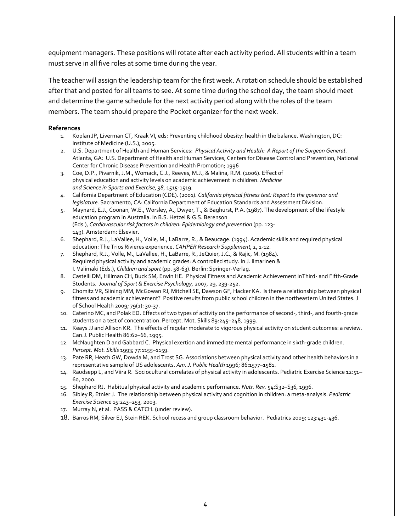equipment managers. These positions will rotate after each activity period. All students within a team must serve in all five roles at some time during the year.

The teacher will assign the leadership team for the first week. A rotation schedule should be established after that and posted for all teams to see. At some time during the school day, the team should meet and determine the game schedule for the next activity period along with the roles of the team members. The team should prepare the Pocket organizer for the next week.

#### **References**

- 1. Koplan JP, Liverman CT, Kraak VI, eds: Preventing childhood obesity: health in the balance. Washington, DC: Institute of Medicine (U.S.); 2005.
- 2. U.S. Department of Health and Human Services: *Physical Activity and Health: A Report of the Surgeon General*. Atlanta, GA: U.S. Department of Health and Human Services, Centers for Disease Control and Prevention, National Center for Chronic Disease Prevention and Health Promotion; 1996
- 3. Coe, D.P., Pivarnik, J.M., Womack, C.J., Reeves, M.J., & Malina, R.M. (2006). Effect of physical education and activity levels on academic achievement in children. *Medicine and Science in Sports and Exercise, 38*, 1515-1519.
- *4.* California Department of Education (CDE). (2001). *California physical fitness test: Report to the governor and legislature.* Sacramento, CA: California Department of Education Standards and Assessment Division.
- 5. Maynard, E.J., Coonan, W.E., Worsley, A., Dwyer, T., & Baghurst, P.A. (1987). The development of the lifestyle education program in Australia. In B.S. Hetzel & G.S. Berenson (Eds.), *Cardiovascular risk factors in children: Epidemiology and prevention* (pp. 123- 149). Amsterdam: Elsevier.
- 6. Shephard, R.J., LaVallee, H., Voile, M., LaBarre, R., & Beaucage. (1994). Academic skills and required physical education: The Trios Rivieres experience. *CAHPER Research Supplement, 1*, 1-12.
- 7. Shephard, R.J., Volle, M., LaVallee, H., LaBarre, R., JeQuier, J.C., & Rajic, M. (1984). Required physical activity and academic grades: A controlled study. In J. Ilmarinen & I. Valimaki (Eds.), *Children and sport* (pp. 58-63). Berlin: Springer-Verlag.
- 8. Castelli DM, Hillman CH, Buck SM, Erwin HE. Physical Fitness and Academic Achievement inThird- and Fifth-Grade Students. *Journal of Sport & Exercise Psychology,* 2007, 29, 239-252.
- 9. Chomitz VR, Slining MM, McGowan RJ, Mitchell SE, Dawson GF, Hacker KA. Is there a relationship between physical fitness and academic achievement? Positive results from public school children in the northeastern United States. J of School Health 2009; 79(1): 30-37.
- 10. Caterino MC, and Polak ED. Effects of two types of activity on the performance of second-, third-, and fourth-grade students on a test of concentration. Percept. Mot. Skills 89:245–248, 1999.
- 11. Keays JJ and Allison KR. The effects of regular moderate to vigorous physical activity on student outcomes: a review. Can.J. Public Health 86:62–66, 1995.
- 12. McNaughten D and Gabbard C. Physical exertion and immediate mental performance in sixth-grade children. *Percept. Mot. Skills* 1993; 77:1155–1159.
- 13. Pate RR, Heath GW, Dowda M, and Trost SG. Associations between physical activity and other health behaviors in a representative sample of US adolescents. *Am. J. Public Health* 1996; 86:1577–1581.
- 14. Raudsepp L, and Viira R. Sociocultural correlates of physical activity in adolescents. Pediatric Exercise Science 12:51– 60, 2000.
- 15. Shephard RJ. Habitual physical activity and academic performance. *Nutr. Rev.* 54:S32–S36, 1996.
- 16. Sibley R, Etnier J. The relationship between physical activity and cognition in children: a meta-analysis. *Pediatric Exercise Science* 15:243–253, 2003.
- 17. Murray N, et al. PASS & CATCH. (under review).
- 18. Barros RM, Silver EJ, Stein REK. School recess and group classroom behavior. Pediatrics 2009; 123:431-436.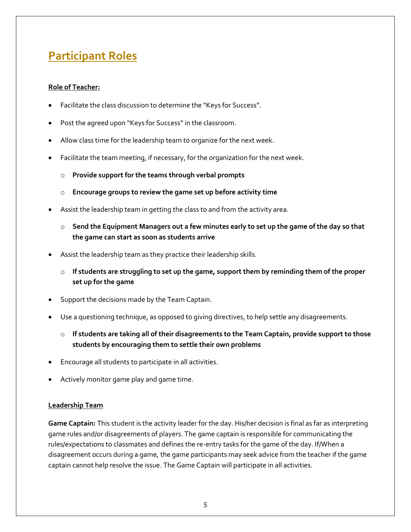## **Participant Roles**

#### **Role of Teacher:**

- Facilitate the class discussion to determine the "Keys for Success".
- Post the agreed upon "Keys for Success" in the classroom.
- Allow class time for the leadership team to organize for the next week.
- Facilitate the team meeting, if necessary, for the organization for the next week.
	- Provide support for the teams through verbal prompts
	- o **Encourage groups to review the game set up before activity time**
- Assist the leadership team in getting the class to and from the activity area.
	- o **Send the Equipment Managers out a few minutes early to set up the game of the day so that the game can start as soon as students arrive**
- Assist the leadership team as they practice their leadership skills.
	- o **If students are struggling to set up the game, support them by reminding them of the proper set up for the game**
- Support the decisions made by the Team Captain.
- Use a questioning technique, as opposed to giving directives, to help settle any disagreements.
	- o **If students are taking all of their disagreements to the Team Captain, provide support to those students by encouraging them to settle their own problems**
- Encourage all students to participate in all activities.
- Actively monitor game play and game time.

#### **Leadership Team**

**Game Captain:** This student is the activity leader for the day. His/her decision is final as far as interpreting game rules and/or disagreements of players. The game captain is responsible for communicating the rules/expectations to classmates and defines the re-entry tasks for the game of the day. If/When a disagreement occurs during a game, the game participants may seek advice from the teacher if the game captain cannot help resolve the issue. The Game Captain will participate in all activities.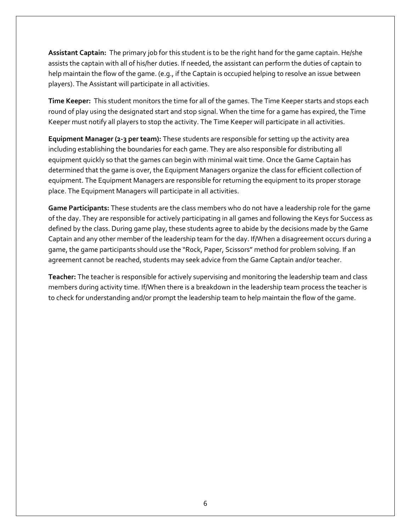**Assistant Captain:** The primary job for this student is to be the right hand for the game captain. He/she assists the captain with all of his/her duties. If needed, the assistant can perform the duties of captain to help maintain the flow of the game. (e.g., if the Captain is occupied helping to resolve an issue between players). The Assistant will participate in all activities.

**Time Keeper:** This student monitors the time for all of the games. The Time Keeper starts and stops each round of play using the designated start and stop signal. When the time for a game has expired, the Time Keeper must notify all players to stop the activity. The Time Keeper will participate in all activities.

**Equipment Manager (2-3 per team):** These students are responsible for setting up the activity area including establishing the boundaries for each game. They are also responsible for distributing all equipment quickly so that the games can begin with minimal wait time. Once the Game Captain has determined that the game is over, the Equipment Managers organize the class for efficient collection of equipment. The Equipment Managers are responsible for returning the equipment to its proper storage place. The Equipment Managers will participate in all activities.

**Game Participants:** These students are the class members who do not have a leadership role for the game of the day. They are responsible for actively participating in all games and following the Keys for Success as defined by the class. During game play, these students agree to abide by the decisions made by the Game Captain and any other member of the leadership team for the day. If/When a disagreement occurs during a game, the game participants should use the "Rock, Paper, Scissors" method for problem solving. If an agreement cannot be reached, students may seek advice from the Game Captain and/or teacher.

**Teacher:** The teacher is responsible for actively supervising and monitoring the leadership team and class members during activity time. If/When there is a breakdown in the leadership team process the teacher is to check for understanding and/or prompt the leadership team to help maintain the flow of the game.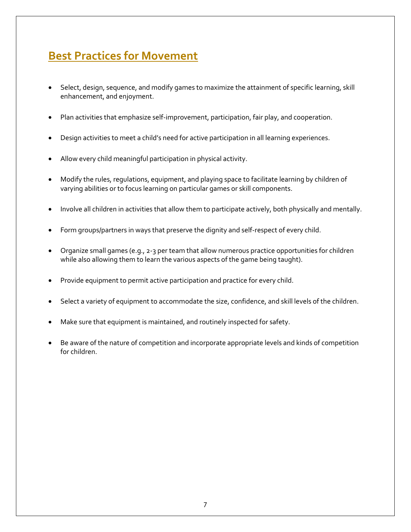## **Best Practices for Movement**

- Select, design, sequence, and modify games to maximize the attainment of specific learning, skill enhancement, and enjoyment.
- Plan activities that emphasize self-improvement, participation, fair play, and cooperation.
- Design activities to meet a child's need for active participation in all learning experiences.
- Allow every child meaningful participation in physical activity.
- Modify the rules, regulations, equipment, and playing space to facilitate learning by children of varying abilities or to focus learning on particular games or skill components.
- Involve all children in activities that allow them to participate actively, both physically and mentally.
- Form groups/partners in ways that preserve the dignity and self-respect of every child.
- Organize small games (e.g., 2-3 per team that allow numerous practice opportunities for children while also allowing them to learn the various aspects of the game being taught).
- Provide equipment to permit active participation and practice for every child.
- Select a variety of equipment to accommodate the size, confidence, and skill levels of the children.
- Make sure that equipment is maintained, and routinely inspected for safety.
- Be aware of the nature of competition and incorporate appropriate levels and kinds of competition for children.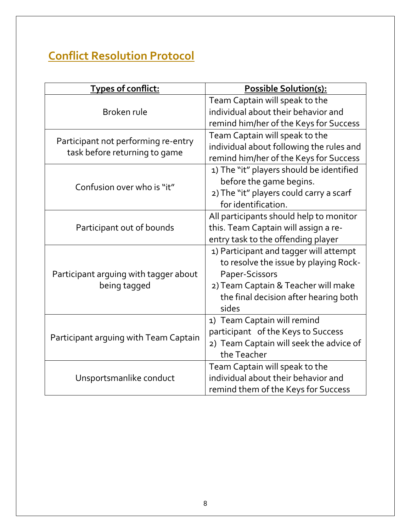## **Conflict Resolution Protocol**

| Types of conflict:                    | Possible Solution(s):                    |
|---------------------------------------|------------------------------------------|
|                                       | Team Captain will speak to the           |
| Broken rule                           | individual about their behavior and      |
|                                       | remind him/her of the Keys for Success   |
| Participant not performing re-entry   | Team Captain will speak to the           |
| task before returning to game         | individual about following the rules and |
|                                       | remind him/her of the Keys for Success   |
|                                       | 1) The "it" players should be identified |
| Confusion over who is "it"            | before the game begins.                  |
|                                       | 2) The "it" players could carry a scarf  |
|                                       | for identification.                      |
|                                       | All participants should help to monitor  |
| Participant out of bounds             | this. Team Captain will assign a re-     |
|                                       | entry task to the offending player       |
|                                       | 1) Participant and tagger will attempt   |
|                                       | to resolve the issue by playing Rock-    |
| Participant arguing with tagger about | Paper-Scissors                           |
| being tagged                          | 2) Team Captain & Teacher will make      |
|                                       | the final decision after hearing both    |
|                                       | sides                                    |
| Participant arguing with Team Captain | 1) Team Captain will remind              |
|                                       | participant of the Keys to Success       |
|                                       | 2) Team Captain will seek the advice of  |
|                                       | the Teacher                              |
|                                       | Team Captain will speak to the           |
| Unsportsmanlike conduct               | individual about their behavior and      |
|                                       | remind them of the Keys for Success      |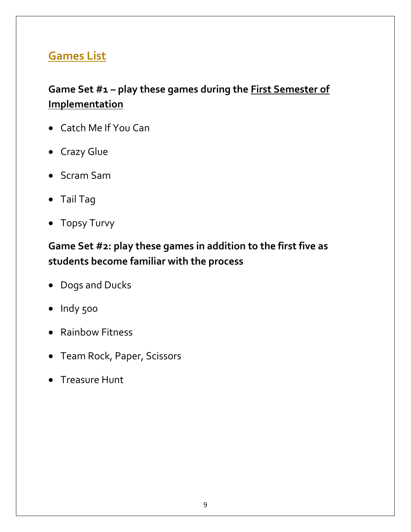## **Games List**

## **Game Set #1 – play these games during the First Semester of Implementation**

- Catch Me If You Can
- Crazy Glue
- Scram Sam
- Tail Tag
- Topsy Turvy

## **Game Set #2: play these games in addition to the first five as students become familiar with the process**

- Dogs and Ducks
- Indy 500
- Rainbow Fitness
- Team Rock, Paper, Scissors
- Treasure Hunt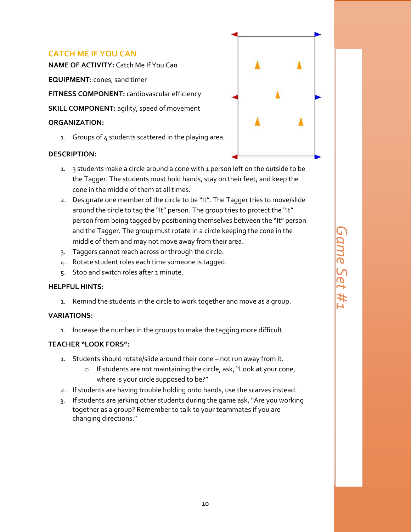#### **CATCH ME IF YOU CAN**

**NAME OF ACTIVITY:** Catch Me If You Can

**EQUIPMENT:** cones, sand timer

**FITNESS COMPONENT:** cardiovascular efficiency

**SKILL COMPONENT:** agility, speed of movement

#### **ORGANIZATION:**

1. Groups of  $4$  students scattered in the playing area.

#### **DESCRIPTION:**

- 
- 1. 3 students make a circle around a cone with 1 person left on the outside to be the Tagger. The students must hold hands, stay on their feet, and keep the cone in the middle of them at all times.
- 2. Designate one member of the circle to be "It". The Tagger tries to move/slide around the circle to tag the "It" person. The group tries to protect the "It" person from being tagged by positioning themselves between the "It" person and the Tagger. The group must rotate in a circle keeping the cone in the middle of them and may not move away from their area.
- 3. Taggers cannot reach across or through the circle.
- 4. Rotate student roles each time someone is tagged.
- 5. Stop and switch roles after 1 minute.

#### **HELPFUL HINTS:**

1. Remind the students in the circle to work together and move as a group.

#### **VARIATIONS:**

1. Increase the number in the groups to make the tagging more difficult.

- 1. Students should rotate/slide around their cone not run away from it.
	- o If students are not maintaining the circle, ask, "Look at your cone, where is your circle supposed to be?"
- 2. If students are having trouble holding onto hands, use the scarves instead.
- 3. If students are jerking other students during the game ask, "Are you working together as a group? Remember to talk to your teammates if you are changing directions."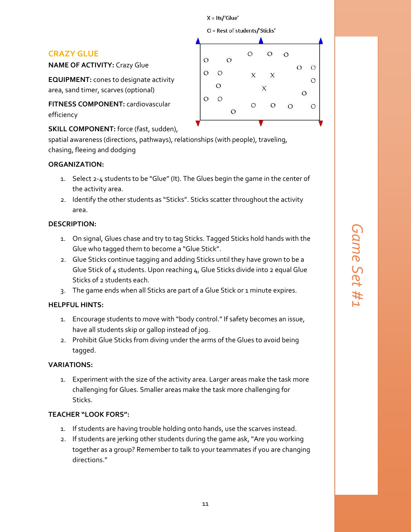$X = Its'/Glue'$ 

O = Rest of students/'Sticks'

#### **CRAZY GLUE**

**NAME OF ACTIVITY:** Crazy Glue

**EQUIPMENT:** cones to designate activity area, sand timer, scarves (optional)

**FITNESS COMPONENT:** cardiovascular efficiency

**SKILL COMPONENT:** force (fast, sudden),

spatial awareness (directions, pathways), relationships (with people), traveling, chasing, fleeing and dodging

#### **ORGANIZATION:**

- 1. Select 2-4 students to be "Glue" (It). The Glues begin the game in the center of the activity area.
- 2. Identify the other students as "Sticks". Sticks scatter throughout the activity area.

#### **DESCRIPTION:**

- 1. On signal, Glues chase and try to tag Sticks. Tagged Sticks hold hands with the Glue who tagged them to become a "Glue Stick".
- 2. Glue Sticks continue tagging and adding Sticks until they have grown to be a Glue Stick of 4 students. Upon reaching 4, Glue Sticks divide into 2 equal Glue Sticks of 2 students each.
- 3. The game ends when all Sticks are part of a Glue Stick or 1 minute expires.

#### **HELPFUL HINTS:**

- 1. Encourage students to move with "body control." If safety becomes an issue, have all students skip or gallop instead of jog.
- 2. Prohibit Glue Sticks from diving under the arms of the Glues to avoid being tagged.

#### **VARIATIONS:**

1. Experiment with the size of the activity area. Larger areas make the task more challenging for Glues. Smaller areas make the task more challenging for Sticks.

- 1. If students are having trouble holding onto hands, use the scarves instead.
- 2. If students are jerking other students during the game ask, "Are you working together as a group? Remember to talk to your teammates if you are changing directions."

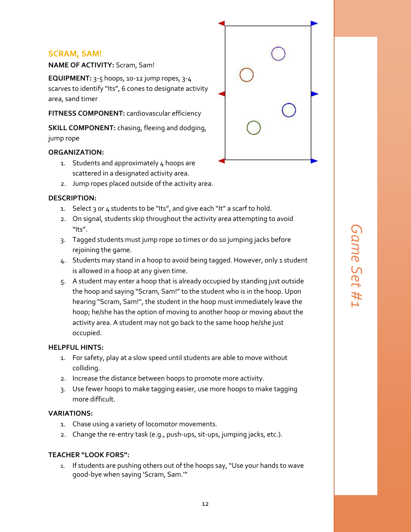#### **SCRAM, SAM!**

**NAME OF ACTIVITY:** Scram, Sam!

**EQUIPMENT:** 3-5 hoops, 10-12 jump ropes, 3-4 scarves to identify "Its", 6 cones to designate activity area, sand timer

**FITNESS COMPONENT:** cardiovascular efficiency

**SKILL COMPONENT:** chasing, fleeing and dodging, jump rope

#### **ORGANIZATION:**

- 1. Students and approximately 4 hoops are scattered in a designated activity area.
- 2. Jump ropes placed outside of the activity area.

#### **DESCRIPTION:**

- 1. Select 3 or 4 students to be "Its", and give each "It" a scarf to hold.
- 2. On signal, students skip throughout the activity area attempting to avoid "Its".
- 3. Tagged students must jump rope 10 times or do 10 jumping jacks before rejoining the game.
- 4. Students may stand in a hoop to avoid being tagged. However, only 1 student is allowed in a hoop at any given time.
- 5. A student may enter a hoop that is already occupied by standing just outside the hoop and saying "Scram, Sam!" to the student who is in the hoop. Upon hearing "Scram, Sam!", the student in the hoop must immediately leave the hoop; he/she has the option of moving to another hoop or moving about the activity area. A student may not go back to the same hoop he/she just occupied.

#### **HELPFUL HINTS:**

- 1. For safety, play at a slow speed until students are able to move without colliding.
- 2. Increase the distance between hoops to promote more activity.
- 3. Use fewer hoops to make tagging easier, use more hoops to make tagging more difficult.

#### **VARIATIONS:**

- 1. Chase using a variety of locomotor movements.
- 2. Change the re-entry task (e.g., push-ups, sit-ups, jumping jacks, etc.).

#### **TEACHER "LOOK FORS":**

1. If students are pushing others out of the hoops say, "Use your hands to wave good-bye when saying 'Scram, Sam.'"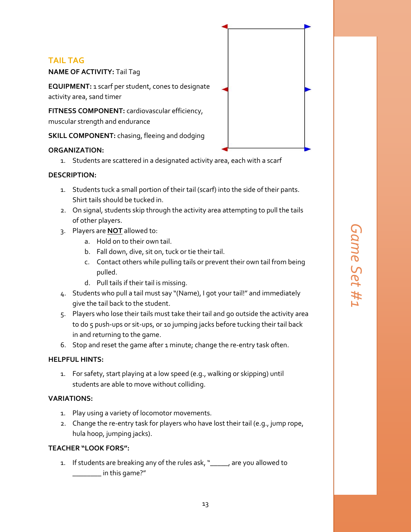#### **TAIL TAG**

**NAME OF ACTIVITY:** Tail Tag

**EQUIPMENT:** 1 scarf per student, cones to designate activity area, sand timer

**FITNESS COMPONENT:** cardiovascular efficiency, muscular strength and endurance

**SKILL COMPONENT:** chasing, fleeing and dodging

#### **ORGANIZATION:**

1. Students are scattered in a designated activity area, each with a scarf

#### **DESCRIPTION:**

- 1. Students tuck a small portion of their tail (scarf) into the side of their pants. Shirt tails should be tucked in.
- 2. On signal, students skip through the activity area attempting to pull the tails of other players.
- 3. Players are **NOT** allowed to:
	- a. Hold on to their own tail.
	- b. Fall down, dive, sit on, tuck or tie their tail.
	- c. Contact others while pulling tails or prevent their own tail from being pulled.
	- d. Pull tails if their tail is missing.
- 4. Students who pull a tail must say "(Name), I got your tail!" and immediately give the tail back to the student.
- 5. Players who lose their tails must take their tail and go outside the activity area to do 5 push-ups or sit-ups, or 10 jumping jacks before tucking their tail back in and returning to the game.
- 6. Stop and reset the game after 1 minute; change the re-entry task often.

#### **HELPFUL HINTS:**

1. For safety, start playing at a low speed (e.g., walking or skipping) until students are able to move without colliding.

#### **VARIATIONS:**

- 1. Play using a variety of locomotor movements.
- 2. Change the re-entry task for players who have lost their tail (e.g., jump rope, hula hoop, jumping jacks).

#### **TEACHER "LOOK FORS":**

1. If students are breaking any of the rules ask, "\_\_\_\_\_, are you allowed to  $\_$  in this game?"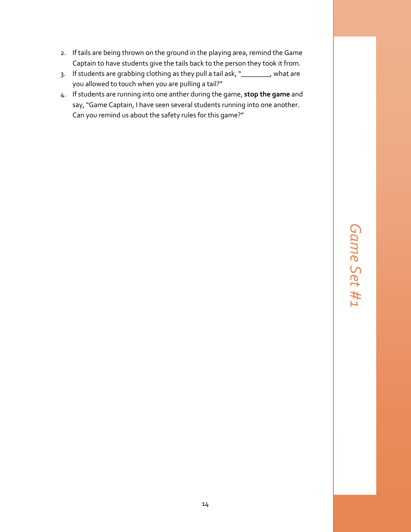- 2. If tails are being thrown on the ground in the playing area, remind the Game Captain to have students give the tails back to the person they took it from.
- 3. If students are grabbing clothing as they pull a tail ask, "\_\_\_\_\_\_\_\_, what are you allowed to touch when you are pulling a tail?"
- 4. If students are running into one anther during the game, **stop the game** and say, "Game Captain, I have seen several students running into one another. Can you remind us about the safety rules for this game?"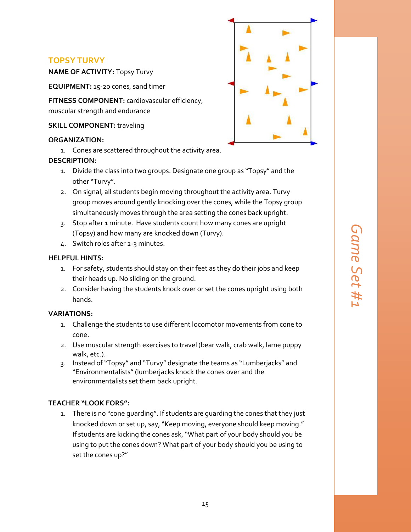#### **TOPSY TURVY**

**NAME OF ACTIVITY:** Topsy Turvy

**EQUIPMENT:** 15-20 cones, sand timer

**FITNESS COMPONENT:** cardiovascular efficiency, muscular strength and endurance

**SKILL COMPONENT: traveling** 

#### **ORGANIZATION:**

1. Cones are scattered throughout the activity area.

#### **DESCRIPTION:**

- 1. Divide the class into two groups. Designate one group as "Topsy" and the other "Turvy".
- 2. On signal, all students begin moving throughout the activity area. Turvy group moves around gently knocking over the cones, while the Topsy group simultaneously moves through the area setting the cones back upright.
- 3. Stop after 1 minute. Have students count how many cones are upright (Topsy) and how many are knocked down (Turvy).
- 4. Switch roles after 2-3 minutes.

#### **HELPFUL HINTS:**

- 1. For safety, students should stay on their feet as they do their jobs and keep their heads up. No sliding on the ground.
- 2. Consider having the students knock over or set the cones upright using both hands.

#### **VARIATIONS:**

- 1. Challenge the students to use different locomotor movements from cone to cone.
- 2. Use muscular strength exercises to travel (bear walk, crab walk, lame puppy walk, etc.).
- 3. Instead of "Topsy" and "Turvy" designate the teams as "Lumberjacks" and "Environmentalists" (lumberjacks knock the cones over and the environmentalists set them back upright.

#### **TEACHER "LOOK FORS":**

1. There is no "cone guarding". If students are guarding the cones that they just knocked down or set up, say, "Keep moving, everyone should keep moving." If students are kicking the cones ask, "What part of your body should you be using to put the cones down? What part of your body should you be using to set the cones up?"

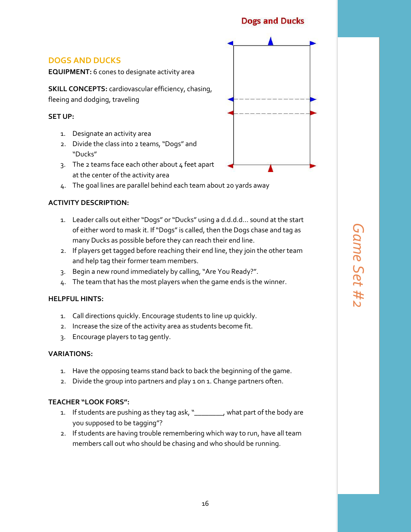#### **Dogs and Ducks**

#### **DOGS AND DUCKS**

**EQUIPMENT:** 6 cones to designate activity area

**SKILL CONCEPTS:** cardiovascular efficiency, chasing, fleeing and dodging, traveling

#### **SET UP:**

- 1. Designate an activity area
- 2. Divide the class into 2 teams, "Dogs" and "Ducks"
- 3. The 2 teams face each other about  $4$  feet apart at the center of the activity area
- 4. The goal lines are parallel behind each team about 20 yards away

#### **ACTIVITY DESCRIPTION:**

- 1. Leader calls out either "Dogs" or "Ducks" using a d.d.d.d… sound at the start of either word to mask it. If "Dogs" is called, then the Dogs chase and tag as many Ducks as possible before they can reach their end line.
- 2. If players get tagged before reaching their end line, they join the other team and help tag their former team members.
- 3. Begin a new round immediately by calling, "Are You Ready?".
- 4. The team that has the most players when the game ends is the winner.

#### **HELPFUL HINTS:**

- 1. Call directions quickly. Encourage students to line up quickly.
- 2. Increase the size of the activity area as students become fit.
- 3. Encourage players to tag gently.

#### **VARIATIONS:**

- 1. Have the opposing teams stand back to back the beginning of the game.
- 2. Divide the group into partners and play 1 on 1. Change partners often.

- 1. If students are pushing as they tag ask, "\_\_\_\_\_\_\_\_, what part of the body are you supposed to be tagging"?
- 2. If students are having trouble remembering which way to run, have all team members call out who should be chasing and who should be running.

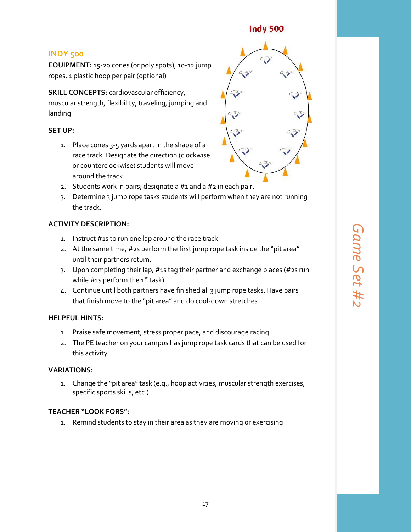#### **Indy 500**

#### **INDY 500**

**EQUIPMENT:** 15-20 cones (or poly spots), 10-12 jump ropes, 1 plastic hoop per pair (optional)

**SKILL CONCEPTS:** cardiovascular efficiency, muscular strength, flexibility, traveling, jumping and landing

#### **SET UP:**

1. Place cones 3-5 yards apart in the shape of a race track. Designate the direction (clockwise or counterclockwise) students will move around the track.



- 2. Students work in pairs; designate a  $#1$  and a  $#2$  in each pair.
- 3. Determine 3 jump rope tasks students will perform when they are not running the track.

#### **ACTIVITY DESCRIPTION:**

- 1. Instruct #1s to run one lap around the race track.
- 2. At the same time, #2s perform the first jump rope task inside the "pit area" until their partners return.
- 3. Upon completing their lap, #1s tag their partner and exchange places (#2s run while  $\#$ 1s perform the 1st task).
- 4. Continue until both partners have finished all 3 jump rope tasks. Have pairs that finish move to the "pit area" and do cool-down stretches.

#### **HELPFUL HINTS:**

- 1. Praise safe movement, stress proper pace, and discourage racing.
- 2. The PE teacher on your campus has jump rope task cards that can be used for this activity.

#### **VARIATIONS:**

1. Change the "pit area" task (e.g., hoop activities, muscular strength exercises, specific sports skills, etc.).

#### **TEACHER "LOOK FORS":**

1. Remind students to stay in their area as they are moving or exercising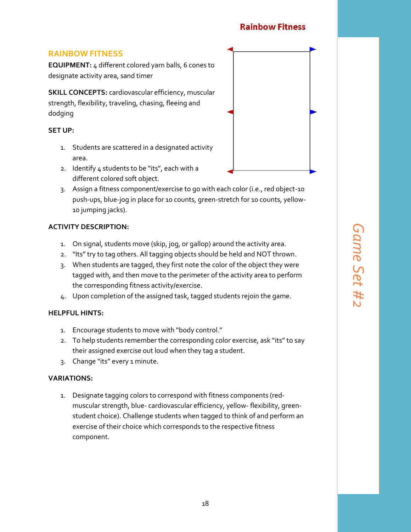#### **Rainbow Fitness**

#### **RAINBOW FITNESS**

**EQUIPMENT:** 4 different colored yarn balls, 6 cones to designate activity area, sand timer

**SKILL CONCEPTS: cardiovascular efficiency, muscular** strength, flexibility, traveling, chasing, fleeing and dodging

#### **SET UP:**

- 1. Students are scattered in a designated activity area.
- 2. Identify 4 students to be "its", each with a different colored soft object.
- 3. Assign a fitness component/exercise to go with each color (i.e., red object-10 push-ups, blue-jog in place for 10 counts, green-stretch for 10 counts, yellow-10 jumping jacks).

#### **ACTIVITY DESCRIPTION:**

- 1. On signal, students move (skip, jog, or gallop) around the activity area.
- 2. "Its" try to tag others. All tagging objects should be held and NOT thrown.
- 3. When students are tagged, they first note the color of the object they were tagged with, and then move to the perimeter of the activity area to perform the corresponding fitness activity/exercise.
- 4. Upon completion of the assigned task, tagged students rejoin the game.

#### **HELPFUL HINTS:**

- 1. Encourage students to move with "body control."
- 2. To help students remember the corresponding color exercise, ask "its" to say their assigned exercise out loud when they tag a student.
- 3. Change "its" every 1 minute.

#### **VARIATIONS:**

1. Designate tagging colors to correspond with fitness components (redmuscular strength, blue- cardiovascular efficiency, yellow- flexibility, greenstudent choice). Challenge students when tagged to think of and perform an exercise of their choice which corresponds to the respective fitness component.

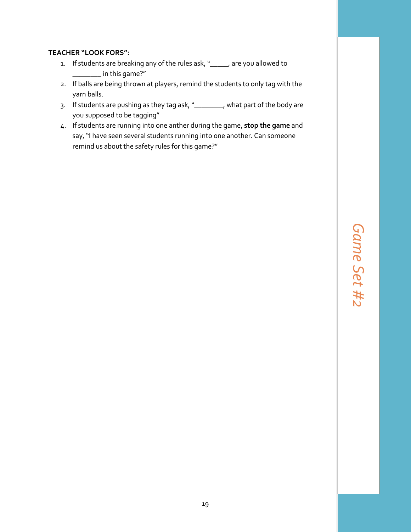- 1. If students are breaking any of the rules ask, "\_\_\_\_\_, are you allowed to \_\_\_\_\_\_\_\_ in this game?"
- 2. If balls are being thrown at players, remind the students to only tag with the yarn balls.
- 3. If students are pushing as they tag ask, "\_\_\_\_\_\_\_\_, what part of the body are you supposed to be tagging"
- 4. If students are running into one anther during the game, **stop the game** and say, "I have seen several students running into one another. Can someone remind us about the safety rules for this game?"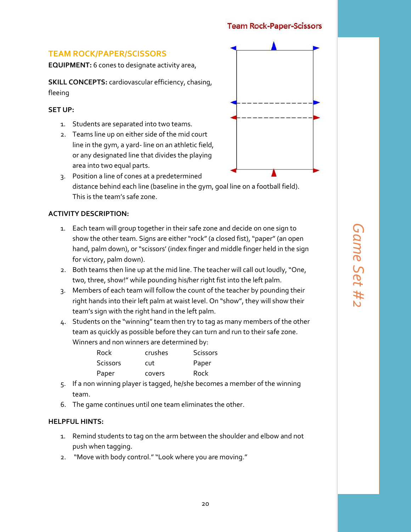#### **Team Rock-Paper-Scissors**

#### **TEAM ROCK/PAPER/SCISSORS**

**EQUIPMENT:** 6 cones to designate activity area,

**SKILL CONCEPTS:** cardiovascular efficiency, chasing, fleeing

#### **SET UP:**

- 1. Students are separated into two teams.
- 2. Teams line up on either side of the mid court line in the gym, a yard- line on an athletic field, or any designated line that divides the playing area into two equal parts.



3. Position a line of cones at a predetermined distance behind each line (baseline in the gym, goal line on a football field). This is the team's safe zone.

#### **ACTIVITY DESCRIPTION:**

- 1. Each team will group together in their safe zone and decide on one sign to show the other team. Signs are either "rock" (a closed fist), "paper" (an open hand, palm down), or "scissors' (index finger and middle finger held in the sign for victory, palm down).
- 2. Both teams then line up at the mid line. The teacher will call out loudly, "One, two, three, show!" while pounding his/her right fist into the left palm.
- 3. Members of each team will follow the count of the teacher by pounding their right hands into their left palm at waist level. On "show", they will show their team's sign with the right hand in the left palm.
- 4. Students on the "winning" team then try to tag as many members of the other team as quickly as possible before they can turn and run to their safe zone. Winners and non winners are determined by:

| crushes | Scissors |
|---------|----------|
| cut     | Paper    |
| covers  | Rock     |
|         |          |

- 5. If a non winning player is tagged, he/she becomes a member of the winning team.
- 6. The game continues until one team eliminates the other.

#### **HELPFUL HINTS:**

- 1. Remind students to tag on the arm between the shoulder and elbow and not push when tagging.
- 2. "Move with body control." "Look where you are moving."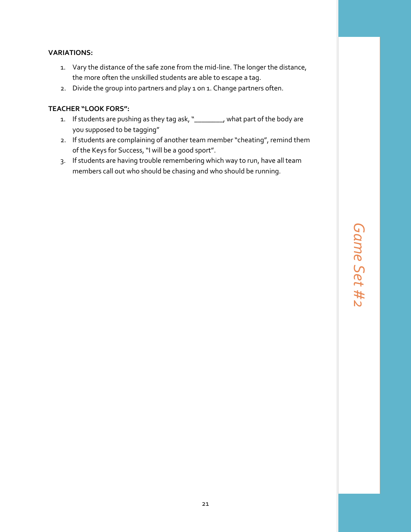#### **VARIATIONS:**

- 1. Vary the distance of the safe zone from the mid-line. The longer the distance, the more often the unskilled students are able to escape a tag.
- 2. Divide the group into partners and play 1 on 1. Change partners often.

- 1. If students are pushing as they tag ask, "\_\_\_\_\_\_\_\_, what part of the body are you supposed to be tagging"
- 2. If students are complaining of another team member "cheating", remind them of the Keys for Success, "I will be a good sport".
- 3. If students are having trouble remembering which way to run, have all team members call out who should be chasing and who should be running.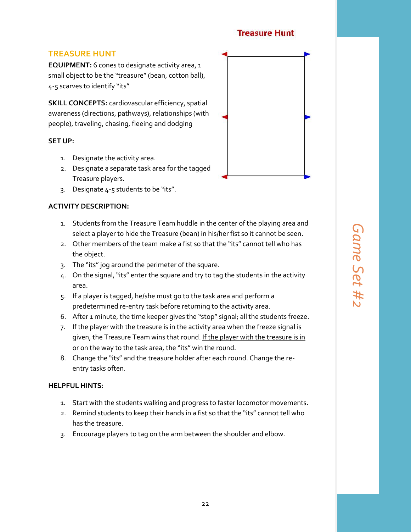#### **Treasure Hunt**

#### **TREASURE HUNT**

**EQUIPMENT:** 6 cones to designate activity area, 1 small object to be the "treasure" (bean, cotton ball), 4-5 scarves to identify "its"

**SKILL CONCEPTS:** cardiovascular efficiency, spatial awareness (directions, pathways), relationships (with people), traveling, chasing, fleeing and dodging

#### **SET UP:**

- 1. Designate the activity area.
- 2. Designate a separate task area for the tagged Treasure players.
- 3. Designate 4-5 students to be "its".

#### **ACTIVITY DESCRIPTION:**

- 1. Students from the Treasure Team huddle in the center of the playing area and select a player to hide the Treasure (bean) in his/her fist so it cannot be seen.
- 2. Other members of the team make a fist so that the "its" cannot tell who has the object.
- 3. The "its" jog around the perimeter of the square.
- 4. On the signal, "its" enter the square and try to tag the students in the activity area.
- 5. If a player is tagged, he/she must go to the task area and perform a predetermined re-entry task before returning to the activity area.
- 6. After 1 minute, the time keeper gives the "stop" signal; all the students freeze.
- 7. If the player with the treasure is in the activity area when the freeze signal is given, the Treasure Team wins that round. If the player with the treasure is in or on the way to the task area, the "its" win the round.
- 8. Change the "its" and the treasure holder after each round. Change the reentry tasks often.

#### **HELPFUL HINTS:**

- 1. Start with the students walking and progress to faster locomotor movements.
- 2. Remind students to keep their hands in a fist so that the "its" cannot tell who has the treasure.
- 3. Encourage players to tag on the arm between the shoulder and elbow.